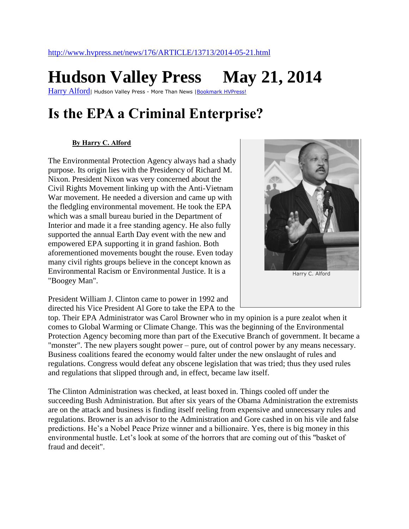## **Hudson Valley Press May 21, 2014**

[Harry Alford](http://www.hvpress.net/news/176)<sub>|</sub> Hudson Valley Press - More Than News | Bookmark HVPress!

## **Is the EPA a Criminal Enterprise?**

## **[By Harry C. Alford](http://www.hvpress.net/authors/?authorID=15)**

The Environmental Protection Agency always had a shady purpose. Its origin lies with the Presidency of Richard M. Nixon. President Nixon was very concerned about the Civil Rights Movement linking up with the Anti-Vietnam War movement. He needed a diversion and came up with the fledgling environmental movement. He took the EPA which was a small bureau buried in the Department of Interior and made it a free standing agency. He also fully supported the annual Earth Day event with the new and empowered EPA supporting it in grand fashion. Both aforementioned movements bought the rouse. Even today many civil rights groups believe in the concept known as Environmental Racism or Environmental Justice. It is a "Boogey Man".



President William J. Clinton came to power in 1992 and directed his Vice President Al Gore to take the EPA to the

top. Their EPA Administrator was Carol Browner who in my opinion is a pure zealot when it comes to Global Warming or Climate Change. This was the beginning of the Environmental Protection Agency becoming more than part of the Executive Branch of government. It became a "monster". The new players sought power – pure, out of control power by any means necessary. Business coalitions feared the economy would falter under the new onslaught of rules and regulations. Congress would defeat any obscene legislation that was tried; thus they used rules and regulations that slipped through and, in effect, became law itself.

The Clinton Administration was checked, at least boxed in. Things cooled off under the succeeding Bush Administration. But after six years of the Obama Administration the extremists are on the attack and business is finding itself reeling from expensive and unnecessary rules and regulations. Browner is an advisor to the Administration and Gore cashed in on his vile and false predictions. He's a Nobel Peace Prize winner and a billionaire. Yes, there is big money in this environmental hustle. Let's look at some of the horrors that are coming out of this "basket of fraud and deceit".